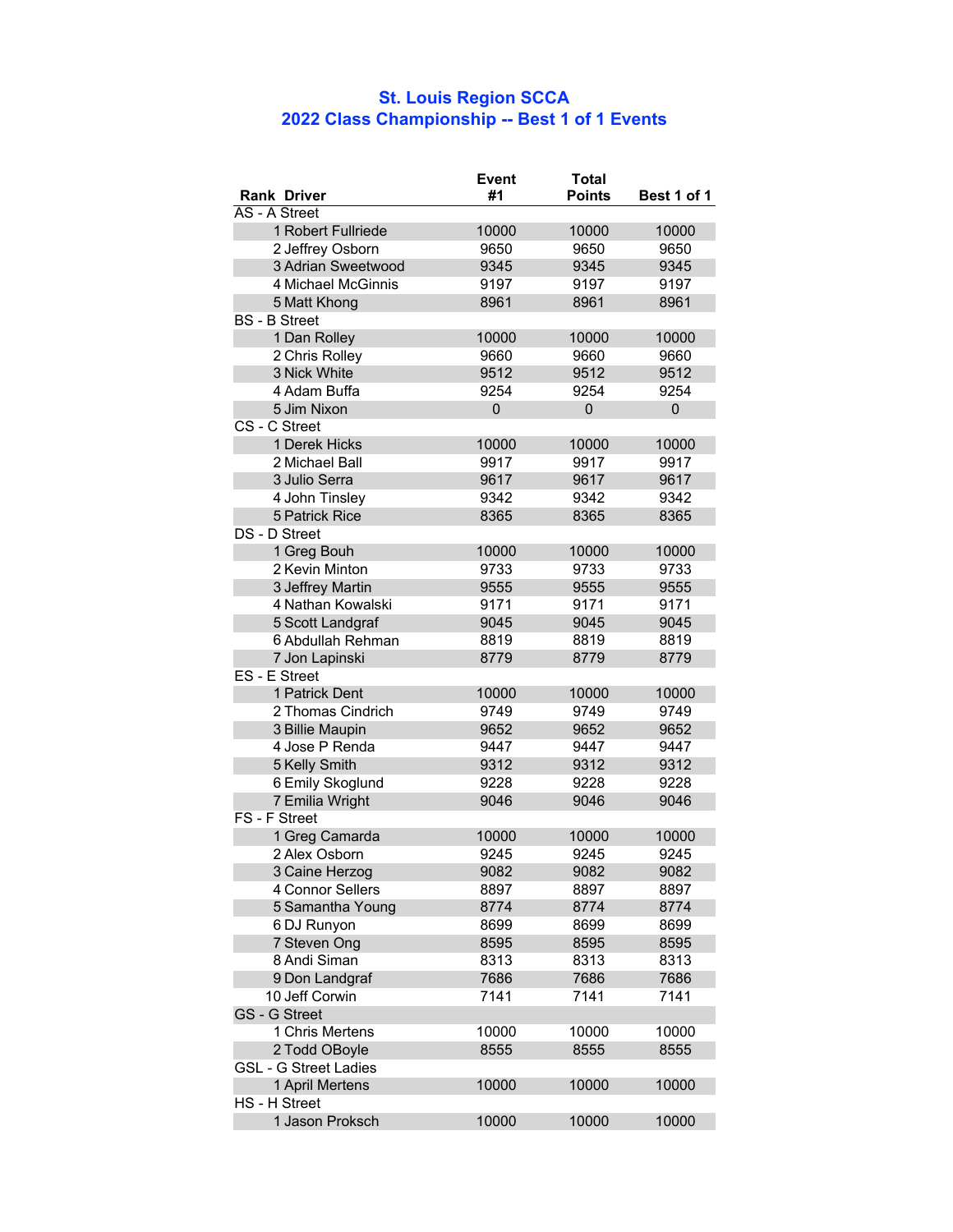## **St. Louis Region SCCA 2022 Class Championship -- Best 1 of 1 Events**

|                                  | <b>Event</b> | <b>Total</b>  |               |
|----------------------------------|--------------|---------------|---------------|
| <b>Rank Driver</b>               | #1           | <b>Points</b> | Best 1 of 1   |
| AS - A Street                    |              |               |               |
| 1 Robert Fullriede               | 10000        | 10000         | 10000         |
| 2 Jeffrey Osborn                 | 9650         | 9650          | 9650          |
| 3 Adrian Sweetwood               | 9345         | 9345          | 9345          |
| 4 Michael McGinnis               | 9197         | 9197          | 9197          |
| 5 Matt Khong                     | 8961         | 8961          | 8961          |
| <b>BS</b> - <b>B</b> Street      |              |               |               |
| 1 Dan Rolley                     | 10000        | 10000         | 10000         |
| 2 Chris Rolley                   | 9660         | 9660          | 9660          |
| 3 Nick White                     | 9512         | 9512          | 9512          |
| 4 Adam Buffa                     | 9254         | 9254          | 9254          |
| 5 Jim Nixon                      | 0            | $\mathbf 0$   | 0             |
| CS - C Street                    |              |               |               |
| 1 Derek Hicks                    | 10000        | 10000         | 10000         |
| 2 Michael Ball                   | 9917         | 9917          | 9917          |
| 3 Julio Serra                    | 9617         | 9617          | 9617          |
| 4 John Tinsley                   | 9342         | 9342          | 9342          |
| 5 Patrick Rice                   | 8365         | 8365          | 8365          |
| DS - D Street                    |              |               |               |
| 1 Greg Bouh                      | 10000        | 10000         | 10000         |
| 2 Kevin Minton                   | 9733         | 9733          | 9733          |
| 3 Jeffrey Martin                 | 9555         | 9555          | 9555          |
| 4 Nathan Kowalski                | 9171         | 9171          | 9171          |
| 5 Scott Landgraf                 | 9045         | 9045          | 9045          |
| 6 Abdullah Rehman                | 8819         | 8819          | 8819          |
| 7 Jon Lapinski                   | 8779         | 8779          | 8779          |
| ES - E Street                    |              |               |               |
| 1 Patrick Dent                   | 10000        | 10000         | 10000         |
| 2 Thomas Cindrich                | 9749         | 9749          | 9749          |
| 3 Billie Maupin                  | 9652         | 9652          | 9652          |
| 4 Jose P Renda                   | 9447         | 9447          | 9447          |
| 5 Kelly Smith                    | 9312         | 9312          | 9312          |
| 6 Emily Skoglund                 | 9228         | 9228          | 9228          |
| 7 Emilia Wright<br>FS - F Street | 9046         | 9046          | 9046          |
| 1 Greg Camarda                   | 10000        | 10000         | 10000         |
| 2 Alex Osborn                    | 9245         | 9245          | 9245          |
| 3 Caine Herzog                   | 9082         | 9082          | 9082          |
| 4 Connor Sellers                 | 8897         | 8897          | 8897          |
| 5 Samantha Young                 | 8774         | 8774          | 8774          |
| 6 DJ Runyon                      | 8699         | 8699          | 8699          |
| 7 Steven Ong                     | 8595         | 8595          | 8595          |
| 8 Andi Siman                     | 8313         | 8313          | 8313          |
| 9 Don Landgraf                   | 7686         | 7686          | 7686          |
| 10 Jeff Corwin                   | 7141         | 7141          | 7141          |
| GS - G Street                    |              |               |               |
| 1 Chris Mertens                  | 10000        |               |               |
| 2 Todd OBoyle                    | 8555         | 10000<br>8555 | 10000<br>8555 |
| <b>GSL - G Street Ladies</b>     |              |               |               |
| 1 April Mertens                  |              |               |               |
| HS - H Street                    | 10000        | 10000         | 10000         |
| 1 Jason Proksch                  | 10000        | 10000         | 10000         |
|                                  |              |               |               |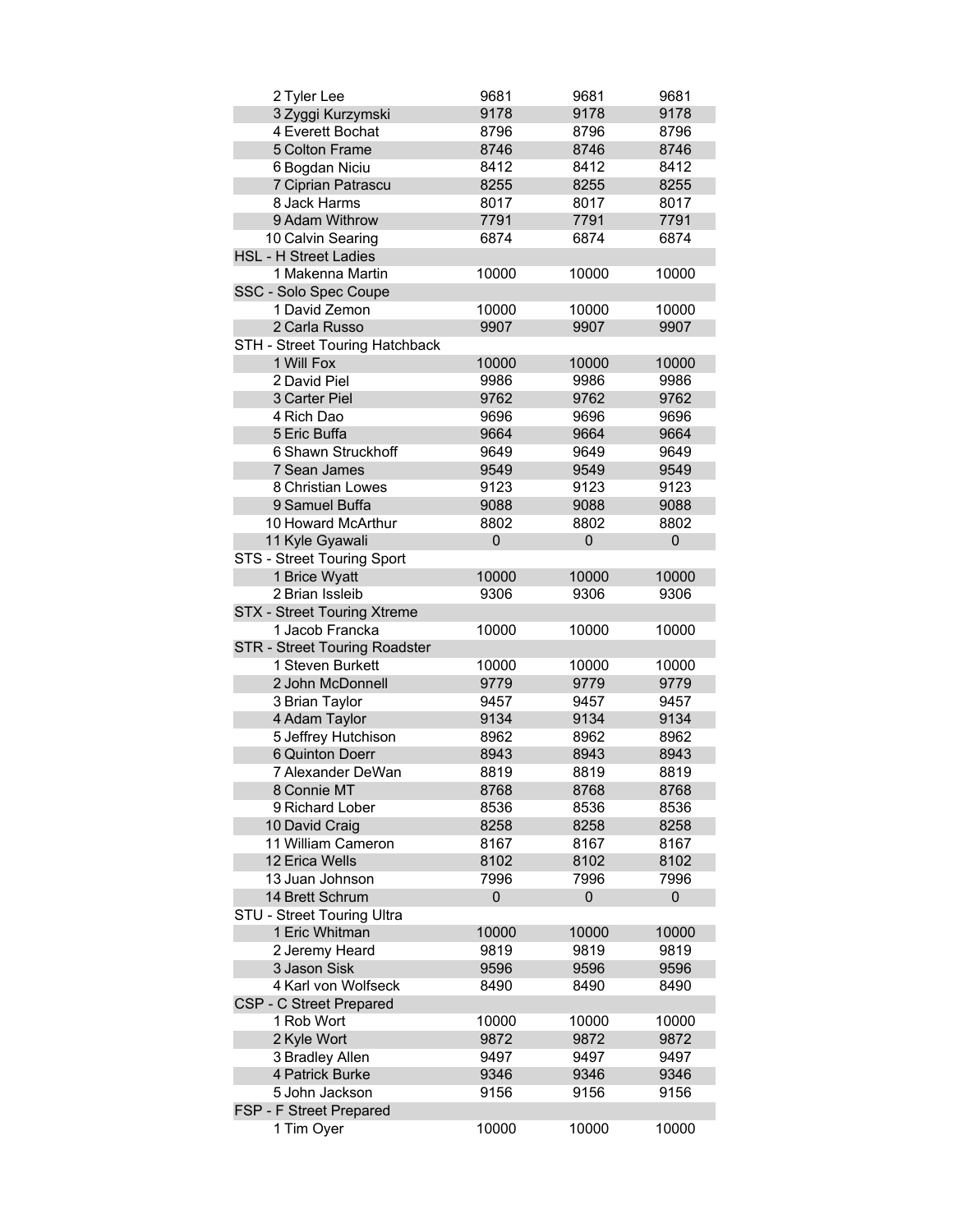| 2 Tyler Lee                                       | 9681  | 9681  | 9681        |
|---------------------------------------------------|-------|-------|-------------|
| 3 Zyggi Kurzymski                                 | 9178  | 9178  | 9178        |
| 4 Everett Bochat                                  | 8796  | 8796  | 8796        |
| 5 Colton Frame                                    | 8746  | 8746  | 8746        |
| 6 Bogdan Niciu                                    | 8412  | 8412  | 8412        |
| 7 Ciprian Patrascu                                | 8255  | 8255  | 8255        |
| 8 Jack Harms                                      | 8017  | 8017  | 8017        |
| 9 Adam Withrow                                    | 7791  | 7791  | 7791        |
| 10 Calvin Searing                                 | 6874  | 6874  | 6874        |
| <b>HSL - H Street Ladies</b>                      |       |       |             |
| 1 Makenna Martin                                  | 10000 | 10000 | 10000       |
| SSC - Solo Spec Coupe                             |       |       |             |
| 1 David Zemon                                     | 10000 | 10000 | 10000       |
| 2 Carla Russo                                     | 9907  | 9907  | 9907        |
|                                                   |       |       |             |
| STH - Street Touring Hatchback                    |       |       |             |
| 1 Will Fox                                        | 10000 | 10000 | 10000       |
| 2 David Piel                                      | 9986  | 9986  | 9986        |
| 3 Carter Piel                                     | 9762  | 9762  | 9762        |
| 4 Rich Dao                                        | 9696  | 9696  | 9696        |
| 5 Eric Buffa                                      | 9664  | 9664  | 9664        |
| 6 Shawn Struckhoff                                | 9649  | 9649  | 9649        |
| 7 Sean James                                      | 9549  | 9549  | 9549        |
| 8 Christian Lowes                                 | 9123  | 9123  | 9123        |
| 9 Samuel Buffa                                    | 9088  | 9088  | 9088        |
| 10 Howard McArthur                                | 8802  | 8802  | 8802        |
| 11 Kyle Gyawali                                   | 0     | 0     | $\mathbf 0$ |
| STS - Street Touring Sport                        |       |       |             |
| 1 Brice Wyatt                                     | 10000 | 10000 | 10000       |
| 2 Brian Issleib                                   | 9306  | 9306  | 9306        |
| STX - Street Touring Xtreme                       |       |       |             |
|                                                   |       |       |             |
| 1 Jacob Francka                                   | 10000 | 10000 | 10000       |
|                                                   |       |       |             |
| STR - Street Touring Roadster<br>1 Steven Burkett |       |       |             |
|                                                   | 10000 | 10000 | 10000       |
| 2 John McDonnell                                  | 9779  | 9779  | 9779        |
| 3 Brian Taylor                                    | 9457  | 9457  | 9457        |
| 4 Adam Taylor                                     | 9134  | 9134  | 9134        |
| 5 Jeffrey Hutchison                               | 8962  | 8962  | 8962        |
| 6 Quinton Doerr                                   | 8943  | 8943  | 8943        |
| 7 Alexander DeWan                                 | 8819  | 8819  | 8819        |
| 8 Connie MT                                       | 8768  | 8768  | 8768        |
| 9 Richard Lober                                   | 8536  | 8536  | 8536        |
| 10 David Craig                                    | 8258  | 8258  | 8258        |
| 11 William Cameron                                | 8167  | 8167  | 8167        |
| 12 Erica Wells                                    | 8102  | 8102  | 8102        |
| 13 Juan Johnson                                   | 7996  | 7996  | 7996        |
| 14 Brett Schrum                                   | 0     | 0     | 0           |
| STU - Street Touring Ultra                        |       |       |             |
| 1 Eric Whitman                                    | 10000 | 10000 | 10000       |
| 2 Jeremy Heard                                    | 9819  | 9819  | 9819        |
| 3 Jason Sisk                                      | 9596  | 9596  | 9596        |
| 4 Karl von Wolfseck                               | 8490  | 8490  | 8490        |
| CSP - C Street Prepared                           |       |       |             |
| 1 Rob Wort                                        | 10000 | 10000 | 10000       |
| 2 Kyle Wort                                       | 9872  | 9872  | 9872        |
| 3 Bradley Allen                                   | 9497  | 9497  | 9497        |
| 4 Patrick Burke                                   | 9346  | 9346  | 9346        |
| 5 John Jackson                                    | 9156  | 9156  | 9156        |
| FSP - F Street Prepared<br>1 Tim Oyer             |       | 10000 | 10000       |